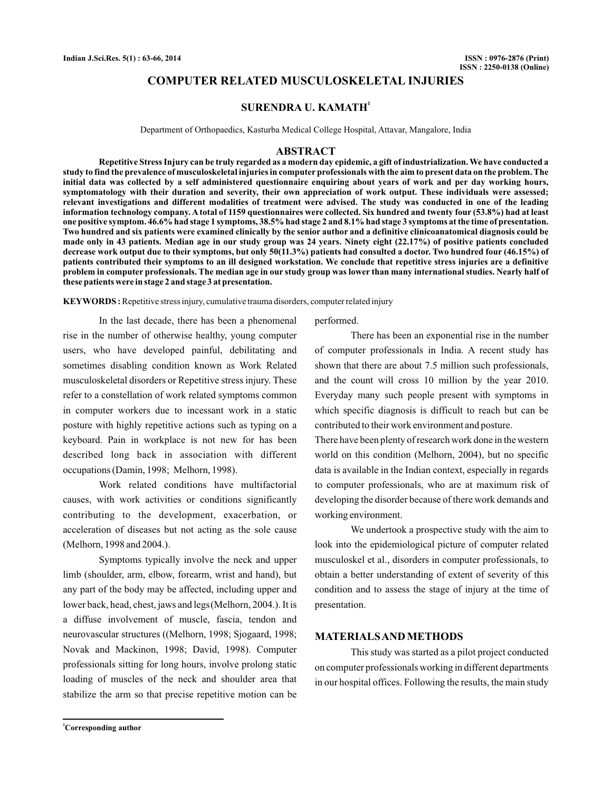# **COMPUTER RELATED MUSCULOSKELETAL INJURIES**

## **SURENDRA U. KAMATH<sup>1</sup>**

Department of Orthopaedics, Kasturba Medical College Hospital, Attavar, Mangalore, India

### **ABSTRACT**

**Repetitive Stress Injury can be truly regarded as a modern day epidemic, a gift of industrialization. We have conducted a study to find the prevalence of musculoskeletal injuries in computer professionals with the aim to present data on the problem. The initial data was collected by a self administered questionnaire enquiring about years of work and per day working hours, symptomatology with their duration and severity, their own appreciation of work output. These individuals were assessed; relevant investigations and different modalities of treatment were advised. The study was conducted in one of the leading information technology company. A total of 1159 questionnaires were collected. Six hundred and twenty four (53.8%) had at least one positive symptom. 46.6% had stage 1 symptoms, 38.5% had stage 2 and 8.1% had stage 3 symptoms at the time of presentation. Two hundred and six patients were examined clinically by the senior author and a definitive clinicoanatomical diagnosis could be made only in 43 patients. Median age in our study group was 24 years. Ninety eight (22.17%) of positive patients concluded decrease work output due to their symptoms, but only 50(11.3%) patients had consulted a doctor. Two hundred four (46.15%) of patients contributed their symptoms to an ill designed workstation. We conclude that repetitive stress injuries are a definitive problem in computer professionals. The median age in our study group was lower than many international studies. Nearly half of these patients were in stage 2 and stage 3 at presentation.**

**KEYWORDS :**Repetitive stress injury, cumulative trauma disorders, computer related injury

In the last decade, there has been a phenomenal rise in the number of otherwise healthy, young computer users, who have developed painful, debilitating and sometimes disabling condition known as Work Related musculoskeletal disorders or Repetitive stress injury. These refer to a constellation of work related symptoms common in computer workers due to incessant work in a static posture with highly repetitive actions such as typing on a keyboard. Pain in workplace is not new for has been described long back in association with different occupations (Damin, 1998; Melhorn, 1998).

Work related conditions have multifactorial causes, with work activities or conditions significantly contributing to the development, exacerbation, or acceleration of diseases but not acting as the sole cause (Melhorn, 1998 and 2004.).

Symptoms typically involve the neck and upper limb (shoulder, arm, elbow, forearm, wrist and hand), but any part of the body may be affected, including upper and lower back, head, chest, jaws and legs (Melhorn, 2004.). It is a diffuse involvement of muscle, fascia, tendon and neurovascular structures ((Melhorn, 1998; Sjogaard, 1998; Novak and Mackinon, 1998; David, 1998). Computer professionals sitting for long hours, involve prolong static loading of muscles of the neck and shoulder area that stabilize the arm so that precise repetitive motion can be

performed.

There has been an exponential rise in the number of computer professionals in India. A recent study has shown that there are about 7.5 million such professionals, and the count will cross 10 million by the year 2010. Everyday many such people present with symptoms in which specific diagnosis is difficult to reach but can be contributed to their work environment and posture.

There have been plenty of research work done in the western world on this condition (Melhorn, 2004), but no specific data is available in the Indian context, especially in regards to computer professionals, who are at maximum risk of developing the disorder because of there work demands and working environment.

We undertook a prospective study with the aim to look into the epidemiological picture of computer related musculoskel et al., disorders in computer professionals, to obtain a better understanding of extent of severity of this condition and to assess the stage of injury at the time of presentation.

## **MATERIALSAND METHODS**

This study was started as a pilot project conducted on computer professionals working in different departments in our hospital offices. Following the results, the main study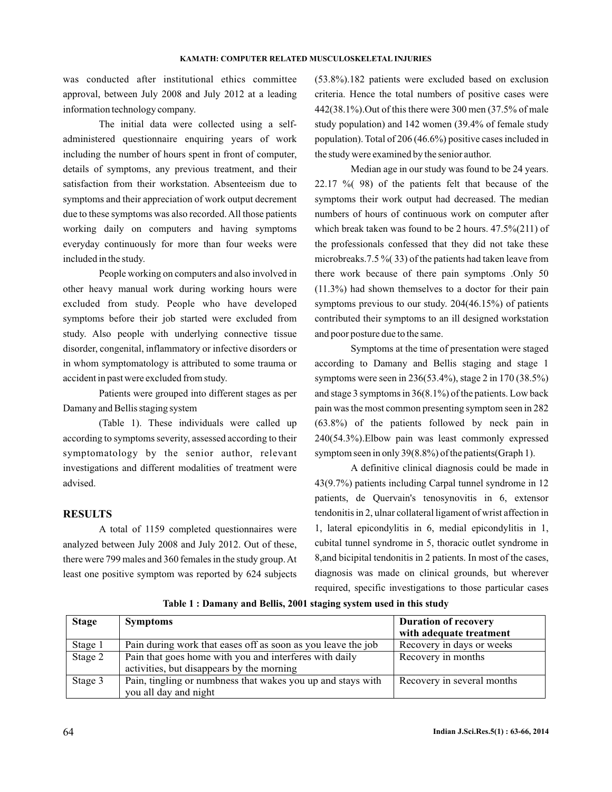was conducted after institutional ethics committee approval, between July 2008 and July 2012 at a leading information technology company.

The initial data were collected using a selfadministered questionnaire enquiring years of work including the number of hours spent in front of computer, details of symptoms, any previous treatment, and their satisfaction from their workstation. Absenteeism due to symptoms and their appreciation of work output decrement due to these symptoms was also recorded. All those patients working daily on computers and having symptoms everyday continuously for more than four weeks were included in the study.

People working on computers and also involved in other heavy manual work during working hours were excluded from study. People who have developed symptoms before their job started were excluded from study. Also people with underlying connective tissue disorder, congenital, inflammatory or infective disorders or in whom symptomatology is attributed to some trauma or accident in past were excluded from study.

Patients were grouped into different stages as per Damany and Bellis staging system

(Table 1). These individuals were called up according to symptoms severity, assessed according to their symptomatology by the senior author, relevant investigations and different modalities of treatment were advised.

## **RESULTS**

A total of 1159 completed questionnaires were analyzed between July 2008 and July 2012. Out of these, there were 799 males and 360 females in the study group.At least one positive symptom was reported by 624 subjects

(53.8%).182 patients were excluded based on exclusion criteria. Hence the total numbers of positive cases were 442(38.1%).Out of this there were 300 men (37.5% of male study population) and 142 women (39.4% of female study population). Total of 206 (46.6%) positive cases included in the study were examined by the senior author.

Median age in our study was found to be 24 years. 22.17 %( 98) of the patients felt that because of the symptoms their work output had decreased. The median numbers of hours of continuous work on computer after which break taken was found to be 2 hours. 47.5%(211) of the professionals confessed that they did not take these microbreaks.7.5 %( 33) of the patients had taken leave from there work because of there pain symptoms .Only 50 (11.3%) had shown themselves to a doctor for their pain symptoms previous to our study. 204(46.15%) of patients contributed their symptoms to an ill designed workstation and poor posture due to the same.

Symptoms at the time of presentation were staged according to Damany and Bellis staging and stage 1 symptoms were seen in 236(53.4%), stage 2 in 170 (38.5%) and stage 3 symptoms in 36(8.1%) of the patients. Low back pain was the most common presenting symptom seen in 282 (63.8%) of the patients followed by neck pain in 240(54.3%).Elbow pain was least commonly expressed symptom seen in only 39(8.8%) of the patients(Graph 1).

A definitive clinical diagnosis could be made in 43(9.7%) patients including Carpal tunnel syndrome in 12 patients, de Quervain's tenosynovitis in 6, extensor tendonitis in 2, ulnar collateral ligament of wrist affection in 1, lateral epicondylitis in 6, medial epicondylitis in 1, cubital tunnel syndrome in 5, thoracic outlet syndrome in 8,and bicipital tendonitis in 2 patients. In most of the cases, diagnosis was made on clinical grounds, but wherever required, specific investigations to those particular cases

| <b>Stage</b> | <b>Symptoms</b>                                              | <b>Duration of recovery</b> |
|--------------|--------------------------------------------------------------|-----------------------------|
|              |                                                              | with adequate treatment     |
| Stage 1      | Pain during work that eases off as soon as you leave the job | Recovery in days or weeks   |
| Stage 2      | Pain that goes home with you and interferes with daily       | Recovery in months          |
|              | activities, but disappears by the morning                    |                             |
| Stage 3      | Pain, tingling or numbness that wakes you up and stays with  | Recovery in several months  |
|              | you all day and night                                        |                             |

**Table 1 : Damany and Bellis, 2001 staging system used in this study**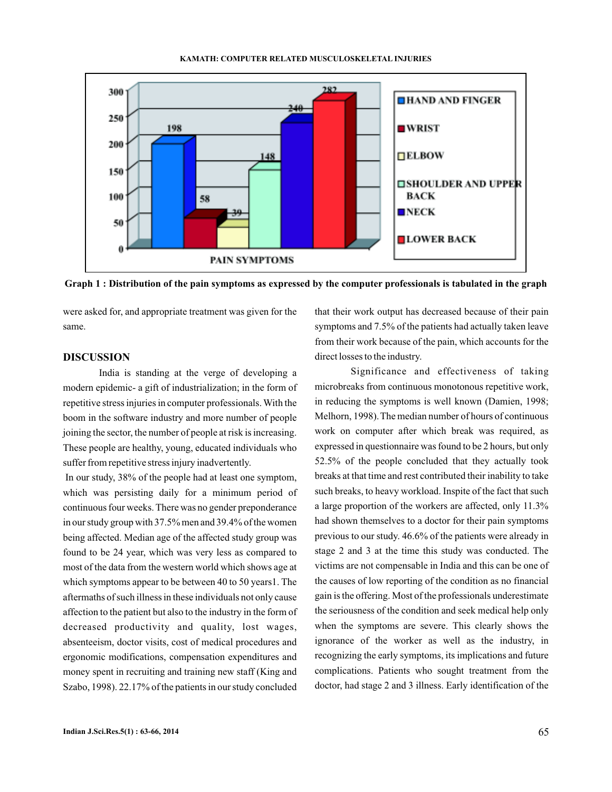



**Graph 1 : Distribution of the pain symptoms as expressed by the computer professionals is tabulated in the graph**

were asked for, and appropriate treatment was given for the same.

# **DISCUSSION**

India is standing at the verge of developing a modern epidemic- a gift of industrialization; in the form of repetitive stress injuries in computer professionals. With the boom in the software industry and more number of people joining the sector, the number of people at risk is increasing. These people are healthy, young, educated individuals who suffer from repetitive stress injury inadvertently.

In our study, 38% of the people had at least one symptom, which was persisting daily for a minimum period of continuous four weeks. There was no gender preponderance in our study group with 37.5% men and 39.4% of the women being affected. Median age of the affected study group was found to be 24 year, which was very less as compared to most of the data from the western world which shows age at which symptoms appear to be between 40 to 50 years1. The aftermaths of such illness in these individuals not only cause affection to the patient but also to the industry in the form of decreased productivity and quality, lost wages, absenteeism, doctor visits, cost of medical procedures and ergonomic modifications, compensation expenditures and money spent in recruiting and training new staff (King and Szabo, 1998). 22.17% of the patients in our study concluded that their work output has decreased because of their pain symptoms and 7.5% of the patients had actually taken leave from their work because of the pain, which accounts for the direct losses to the industry.

Significance and effectiveness of taking microbreaks from continuous monotonous repetitive work, in reducing the symptoms is well known (Damien, 1998; Melhorn, 1998).The median number of hours of continuous work on computer after which break was required, as expressed in questionnaire was found to be 2 hours, but only 52.5% of the people concluded that they actually took breaks at that time and rest contributed their inability to take such breaks, to heavy workload. Inspite of the fact that such a large proportion of the workers are affected, only 11.3% had shown themselves to a doctor for their pain symptoms previous to our study. 46.6% of the patients were already in stage 2 and 3 at the time this study was conducted. The victims are not compensable in India and this can be one of the causes of low reporting of the condition as no financial gain is the offering. Most of the professionals underestimate the seriousness of the condition and seek medical help only when the symptoms are severe. This clearly shows the ignorance of the worker as well as the industry, in recognizing the early symptoms, its implications and future complications. Patients who sought treatment from the doctor, had stage 2 and 3 illness. Early identification of the